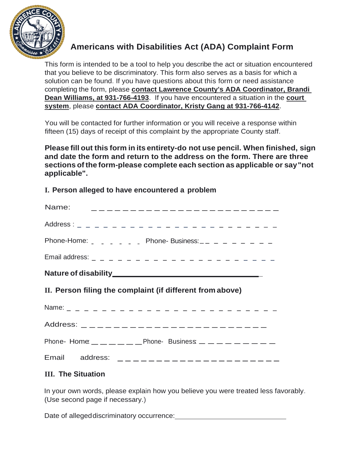

## **Americans with Disabilities Act (ADA) Complaint Form**

This form is intended to be a tool to help you describe the act or situation encountered that you believe to be discriminatory. This form also serves as a basis for which a solution can be found. If you have questions about this form or need assistance completing the form, please **contact Lawrence County's ADA Coordinator, Brandi Dean Williams, at 931-766-4193**. If you have encountered a situation in the **court system**, please **contact ADA Coordinator, Kristy Gang at 931-766-4142**.

You will be contacted for further information or you will receive a response within fifteen (15) days of receipt of this complaint by the appropriate County staff.

**Please fill out this form in its entirety-do not use pencil. When finished, sign and date the form and return to the address on the form. There are three sections ofthe form-please complete each section as applicable or say"not applicable".**

## **I. Person alleged to have encountered a problem**

|                                                           | Name: $\qquad$ $\qquad$ $\qquad$ $\qquad$ $\qquad$ $\qquad$ $\qquad$ $\qquad$ $\qquad$ $\qquad$ $\qquad$ $\qquad$ $\qquad$ $\qquad$ $\qquad$ $\qquad$ $\qquad$ $\qquad$ $\qquad$ $\qquad$ $\qquad$ $\qquad$ $\qquad$ $\qquad$ $\qquad$ $\qquad$ $\qquad$ $\qquad$ $\qquad$ $\qquad$ $\qquad$ $\qquad$ $\qquad$ $\qquad$ $\qquad$ $\qquad$ |  |
|-----------------------------------------------------------|-------------------------------------------------------------------------------------------------------------------------------------------------------------------------------------------------------------------------------------------------------------------------------------------------------------------------------------------|--|
|                                                           |                                                                                                                                                                                                                                                                                                                                           |  |
|                                                           | Phone-Home: $\frac{1}{2}$ $\frac{1}{2}$ $\frac{1}{2}$ $\frac{1}{2}$ Phone-Business: $\frac{1}{2}$ $\frac{1}{2}$ $\frac{1}{2}$ $\frac{1}{2}$ $\frac{1}{2}$ $\frac{1}{2}$ $\frac{1}{2}$ $\frac{1}{2}$ $\frac{1}{2}$ $\frac{1}{2}$ $\frac{1}{2}$ $\frac{1}{2}$ $\frac{1}{2}$ $\frac{1}{2}$ $\frac{1}{2}$ $\frac$                             |  |
|                                                           |                                                                                                                                                                                                                                                                                                                                           |  |
|                                                           |                                                                                                                                                                                                                                                                                                                                           |  |
| II. Person filing the complaint (if different from above) |                                                                                                                                                                                                                                                                                                                                           |  |
|                                                           |                                                                                                                                                                                                                                                                                                                                           |  |
|                                                           |                                                                                                                                                                                                                                                                                                                                           |  |
|                                                           |                                                                                                                                                                                                                                                                                                                                           |  |
|                                                           | Phone-Home $\_\_$ $\_\_$ $\_\_$ $\_\_$ $\_\_$ Phone-Business $\_\_$ $\_\_$ $\_\_$ $\_\_$ $\_\_$ $\_\_$                                                                                                                                                                                                                                    |  |

Email address: \_\_\_\_\_\_\_\_\_\_\_\_\_\_\_\_\_\_\_\_\_

## **III. The Situation**

In your own words, please explain how you believe you were treated less favorably. (Use second page if necessary.)

Date of allegeddiscriminatory occurrence: